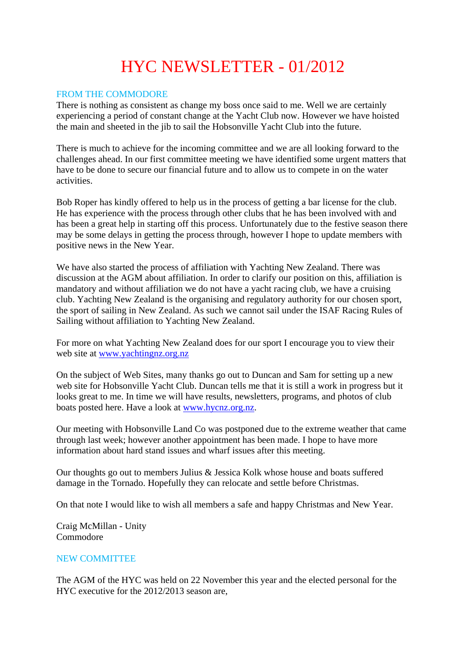# HYC NEWSLETTER - 01/2012

## FROM THE COMMODORE

There is nothing as consistent as change my boss once said to me. Well we are certainly experiencing a period of constant change at the Yacht Club now. However we have hoisted the main and sheeted in the jib to sail the Hobsonville Yacht Club into the future.

There is much to achieve for the incoming committee and we are all looking forward to the challenges ahead. In our first committee meeting we have identified some urgent matters that have to be done to secure our financial future and to allow us to compete in on the water activities.

Bob Roper has kindly offered to help us in the process of getting a bar license for the club. He has experience with the process through other clubs that he has been involved with and has been a great help in starting off this process. Unfortunately due to the festive season there may be some delays in getting the process through, however I hope to update members with positive news in the New Year.

We have also started the process of affiliation with Yachting New Zealand. There was discussion at the AGM about affiliation. In order to clarify our position on this, affiliation is mandatory and without affiliation we do not have a yacht racing club, we have a cruising club. Yachting New Zealand is the organising and regulatory authority for our chosen sport, the sport of sailing in New Zealand. As such we cannot sail under the ISAF Racing Rules of Sailing without affiliation to Yachting New Zealand.

For more on what Yachting New Zealand does for our sport I encourage you to view their web site at www.yachtingnz.org.nz

On the subject of Web Sites, many thanks go out to Duncan and Sam for setting up a new web site for Hobsonville Yacht Club. Duncan tells me that it is still a work in progress but it looks great to me. In time we will have results, newsletters, programs, and photos of club boats posted here. Have a look at www.hycnz.org.nz.

Our meeting with Hobsonville Land Co was postponed due to the extreme weather that came through last week; however another appointment has been made. I hope to have more information about hard stand issues and wharf issues after this meeting.

Our thoughts go out to members Julius & Jessica Kolk whose house and boats suffered damage in the Tornado. Hopefully they can relocate and settle before Christmas.

On that note I would like to wish all members a safe and happy Christmas and New Year.

Craig McMillan - Unity Commodore

#### NEW COMMITTEE

The AGM of the HYC was held on 22 November this year and the elected personal for the HYC executive for the 2012/2013 season are,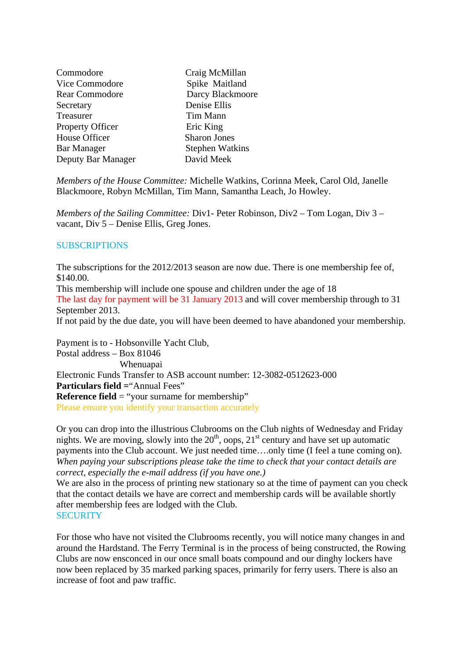| Commodore             | Craig McMillan         |
|-----------------------|------------------------|
| Vice Commodore        | Spike Maitland         |
| <b>Rear Commodore</b> | Darcy Blackmoore       |
| Secretary             | Denise Ellis           |
| Treasurer             | Tim Mann               |
| Property Officer      | Eric King              |
| House Officer         | <b>Sharon Jones</b>    |
| <b>Bar Manager</b>    | <b>Stephen Watkins</b> |
| Deputy Bar Manager    | David Meek             |

*Members of the House Committee:* Michelle Watkins, Corinna Meek, Carol Old, Janelle Blackmoore, Robyn McMillan, Tim Mann, Samantha Leach, Jo Howley.

*Members of the Sailing Committee:* Div1- Peter Robinson, Div2 – Tom Logan, Div 3 – vacant, Div 5 – Denise Ellis, Greg Jones.

#### **SUBSCRIPTIONS**

The subscriptions for the 2012/2013 season are now due. There is one membership fee of, \$140.00.

This membership will include one spouse and children under the age of 18

The last day for payment will be 31 January 2013 and will cover membership through to 31 September 2013.

If not paid by the due date, you will have been deemed to have abandoned your membership.

Payment is to - Hobsonville Yacht Club, Postal address – Box 81046 Whenuapai Electronic Funds Transfer to ASB account number: 12-3082-0512623-000 **Particulars field = "Annual Fees" Reference field** = "your surname for membership" Please ensure you identify your transaction accurately

Or you can drop into the illustrious Clubrooms on the Club nights of Wednesday and Friday nights. We are moving, slowly into the  $20<sup>th</sup>$ , oops,  $21<sup>st</sup>$  century and have set up automatic payments into the Club account. We just needed time….only time (I feel a tune coming on). *When paying your subscriptions please take the time to check that your contact details are correct, especially the e-mail address (if you have one.)* 

We are also in the process of printing new stationary so at the time of payment can you check that the contact details we have are correct and membership cards will be available shortly after membership fees are lodged with the Club. **SECURITY** 

For those who have not visited the Clubrooms recently, you will notice many changes in and around the Hardstand. The Ferry Terminal is in the process of being constructed, the Rowing Clubs are now ensconced in our once small boats compound and our dinghy lockers have now been replaced by 35 marked parking spaces, primarily for ferry users. There is also an increase of foot and paw traffic.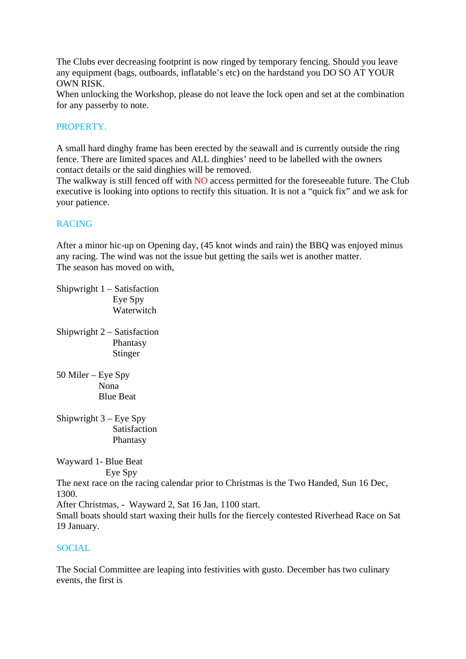The Clubs ever decreasing footprint is now ringed by temporary fencing. Should you leave any equipment (bags, outboards, inflatable's etc) on the hardstand you DO SO AT YOUR OWN RISK.

When unlocking the Workshop, please do not leave the lock open and set at the combination for any passerby to note.

### PROPERTY.

A small hard dinghy frame has been erected by the seawall and is currently outside the ring fence. There are limited spaces and ALL dinghies' need to be labelled with the owners contact details or the said dinghies will be removed.

The walkway is still fenced off with NO access permitted for the foreseeable future. The Club executive is looking into options to rectify this situation. It is not a "quick fix" and we ask for your patience.

# RACING

After a minor hic-up on Opening day, (45 knot winds and rain) the BBQ was enjoyed minus any racing. The wind was not the issue but getting the sails wet is another matter. The season has moved on with,

Shipwright 1 – Satisfaction Eye Spy Waterwitch

- Shipwright 2 Satisfaction Phantasy Stinger
- 50 Miler Eye Spy Nona Blue Beat
- Shipwright 3 Eye Spy Satisfaction Phantasy

Wayward 1- Blue Beat Eye Spy

The next race on the racing calendar prior to Christmas is the Two Handed, Sun 16 Dec, 1300.

After Christmas, - Wayward 2, Sat 16 Jan, 1100 start.

Small boats should start waxing their hulls for the fiercely contested Riverhead Race on Sat 19 January.

#### SOCIAL

The Social Committee are leaping into festivities with gusto. December has two culinary events, the first is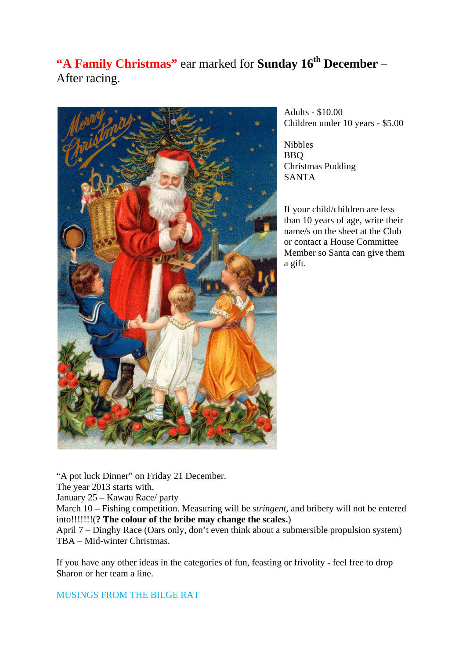# **"A Family Christmas"** ear marked for **Sunday 16<sup>th</sup> December** – After racing.



Adults - \$10.00 Children under 10 years - \$5.00

Nibbles BBQ Christmas Pudding SANTA

If your child/children are less than 10 years of age, write their name/s on the sheet at the Club or contact a House Committee Member so Santa can give them a gift.

"A pot luck Dinner" on Friday 21 December. The year 2013 starts with, January 25 – Kawau Race/ party March 10 – Fishing competition. Measuring will be *stringent,* and bribery will not be entered into!!!!!!!(**? The colour of the bribe may change the scales.**) April 7 – Dinghy Race (Oars only, don't even think about a submersible propulsion system) TBA – Mid-winter Christmas.

If you have any other ideas in the categories of fun, feasting or frivolity - feel free to drop Sharon or her team a line.

MUSINGS FROM THE BILGE RAT